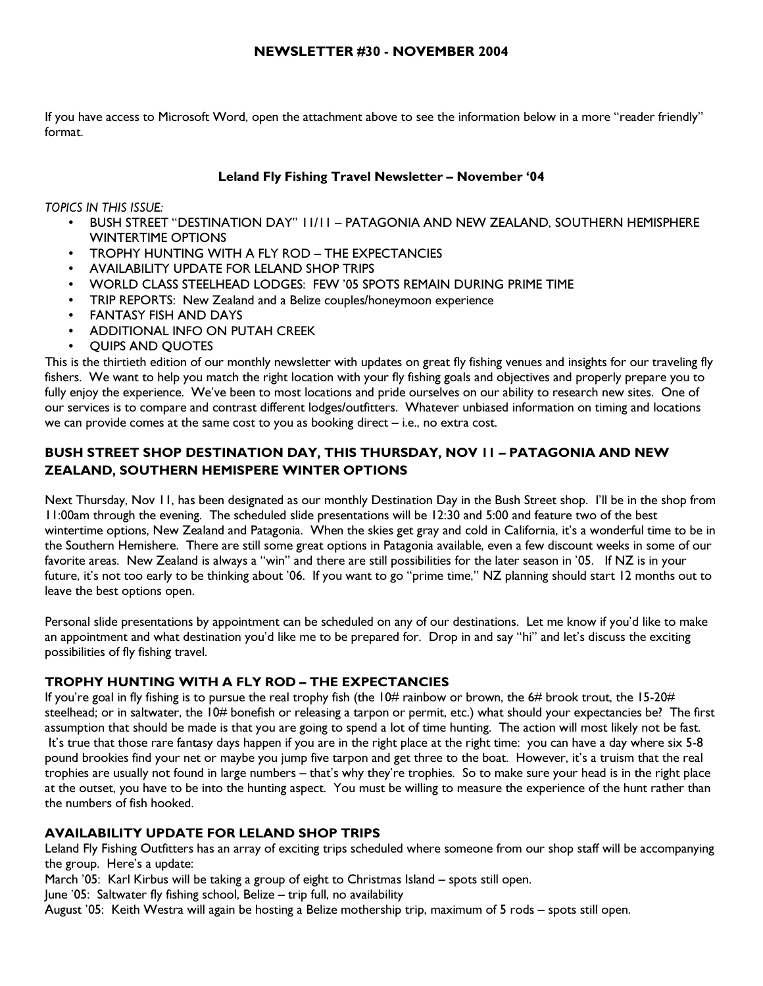If you have access to Microsoft Word, open the attachment above to see the information below in a more "reader friendly" format.

# Leland Fly Fishing Travel Newsletter – November '04

TOPICS IN THIS ISSUE:

- BUSH STREET "DESTINATION DAY" 11/11 PATAGONIA AND NEW ZEALAND, SOUTHERN HEMISPHERE WINTERTIME OPTIONS
- TROPHY HUNTING WITH A FLY ROD THE EXPECTANCIES
- AVAILABILITY UPDATE FOR LELAND SHOP TRIPS
- WORLD CLASS STEELHEAD LODGES: FEW '05 SPOTS REMAIN DURING PRIME TIME
- TRIP REPORTS: New Zealand and a Belize couples/honeymoon experience
- FANTASY FISH AND DAYS
- ADDITIONAL INFO ON PUTAH CREEK
- QUIPS AND QUOTES

This is the thirtieth edition of our monthly newsletter with updates on great fly fishing venues and insights for our traveling fly fishers. We want to help you match the right location with your fly fishing goals and objectives and properly prepare you to fully enjoy the experience. We've been to most locations and pride ourselves on our ability to research new sites. One of our services is to compare and contrast different lodges/outfitters. Whatever unbiased information on timing and locations we can provide comes at the same cost to you as booking direct  $-$  i.e., no extra cost.

# BUSH STREET SHOP DESTINATION DAY, THIS THURSDAY, NOV 11 – PATAGONIA AND NEW ZEALAND, SOUTHERN HEMISPERE WINTER OPTIONS

Next Thursday, Nov 11, has been designated as our monthly Destination Day in the Bush Street shop. I'll be in the shop from 11:00am through the evening. The scheduled slide presentations will be 12:30 and 5:00 and feature two of the best wintertime options, New Zealand and Patagonia. When the skies get gray and cold in California, it's a wonderful time to be in the Southern Hemishere. There are still some great options in Patagonia available, even a few discount weeks in some of our favorite areas. New Zealand is always a "win" and there are still possibilities for the later season in '05. If NZ is in your future, it's not too early to be thinking about '06. If you want to go "prime time," NZ planning should start 12 months out to leave the best options open.

Personal slide presentations by appointment can be scheduled on any of our destinations. Let me know if you'd like to make an appointment and what destination you'd like me to be prepared for. Drop in and say "hi" and let's discuss the exciting possibilities of fly fishing travel.

# TROPHY HUNTING WITH A FLY ROD – THE EXPECTANCIES

If you're goal in fly fishing is to pursue the real trophy fish (the  $10\#$  rainbow or brown, the 6# brook trout, the 15-20# steelhead; or in saltwater, the 10# bonefish or releasing a tarpon or permit, etc.) what should your expectancies be? The first assumption that should be made is that you are going to spend a lot of time hunting. The action will most likely not be fast. It's true that those rare fantasy days happen if you are in the right place at the right time: you can have a day where six 5-8 pound brookies find your net or maybe you jump five tarpon and get three to the boat. However, it's a truism that the real trophies are usually not found in large numbers – that's why they're trophies. So to make sure your head is in the right place at the outset, you have to be into the hunting aspect. You must be willing to measure the experience of the hunt rather than the numbers of fish hooked.

# AVAILABILITY UPDATE FOR LELAND SHOP TRIPS

Leland Fly Fishing Outfitters has an array of exciting trips scheduled where someone from our shop staff will be accompanying the group. Here's a update:

March '05: Karl Kirbus will be taking a group of eight to Christmas Island – spots still open.

June '05: Saltwater fly fishing school, Belize – trip full, no availability

August '05: Keith Westra will again be hosting a Belize mothership trip, maximum of 5 rods – spots still open.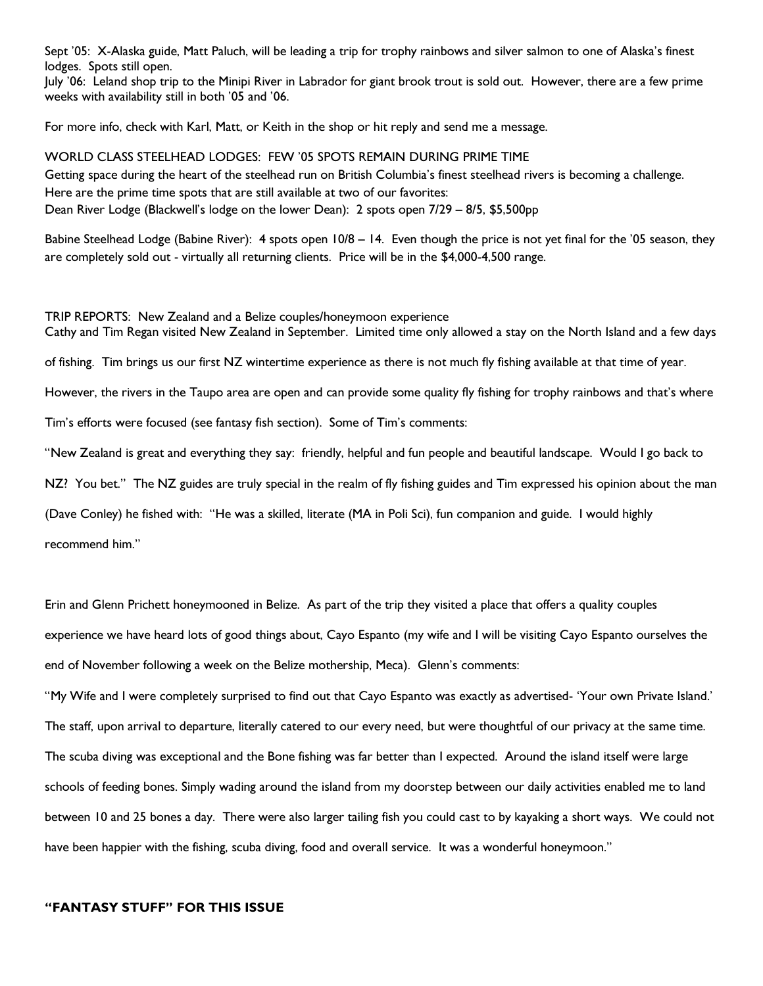Sept '05: X-Alaska guide, Matt Paluch, will be leading a trip for trophy rainbows and silver salmon to one of Alaska's finest lodges. Spots still open.

July '06: Leland shop trip to the Minipi River in Labrador for giant brook trout is sold out. However, there are a few prime weeks with availability still in both '05 and '06.

For more info, check with Karl, Matt, or Keith in the shop or hit reply and send me a message.

WORLD CLASS STEELHEAD LODGES: FEW '05 SPOTS REMAIN DURING PRIME TIME Getting space during the heart of the steelhead run on British Columbia's finest steelhead rivers is becoming a challenge. Here are the prime time spots that are still available at two of our favorites: Dean River Lodge (Blackwell's lodge on the lower Dean): 2 spots open 7/29 – 8/5, \$5,500pp

Babine Steelhead Lodge (Babine River): 4 spots open 10/8 – 14. Even though the price is not yet final for the '05 season, they are completely sold out - virtually all returning clients. Price will be in the \$4,000-4,500 range.

TRIP REPORTS: New Zealand and a Belize couples/honeymoon experience Cathy and Tim Regan visited New Zealand in September. Limited time only allowed a stay on the North Island and a few days

of fishing. Tim brings us our first NZ wintertime experience as there is not much fly fishing available at that time of year.

However, the rivers in the Taupo area are open and can provide some quality fly fishing for trophy rainbows and that's where

Tim's efforts were focused (see fantasy fish section). Some of Tim's comments:

"New Zealand is great and everything they say: friendly, helpful and fun people and beautiful landscape. Would I go back to

NZ? You bet." The NZ guides are truly special in the realm of fly fishing guides and Tim expressed his opinion about the man

(Dave Conley) he fished with: "He was a skilled, literate (MA in Poli Sci), fun companion and guide. I would highly

recommend him."

Erin and Glenn Prichett honeymooned in Belize. As part of the trip they visited a place that offers a quality couples experience we have heard lots of good things about, Cayo Espanto (my wife and I will be visiting Cayo Espanto ourselves the end of November following a week on the Belize mothership, Meca). Glenn's comments:

"My Wife and I were completely surprised to find out that Cayo Espanto was exactly as advertised- 'Your own Private Island.' The staff, upon arrival to departure, literally catered to our every need, but were thoughtful of our privacy at the same time. The scuba diving was exceptional and the Bone fishing was far better than I expected. Around the island itself were large schools of feeding bones. Simply wading around the island from my doorstep between our daily activities enabled me to land between 10 and 25 bones a day. There were also larger tailing fish you could cast to by kayaking a short ways. We could not have been happier with the fishing, scuba diving, food and overall service. It was a wonderful honeymoon."

#### "FANTASY STUFF" FOR THIS ISSUE